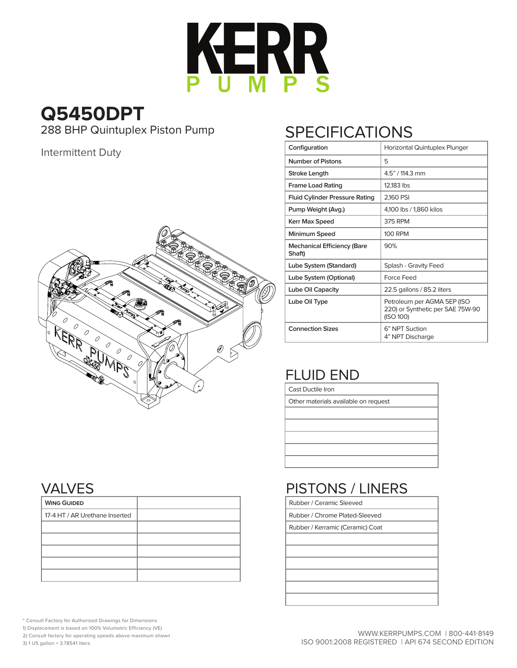

## **Q5450DPT**<br>288 BHP Quintuplex Piston Pump

Intermittent Duty



## SPECIFICATIONS

| Configuration                                | Horizontal Quintuplex Plunger                                                |  |  |  |  |  |
|----------------------------------------------|------------------------------------------------------------------------------|--|--|--|--|--|
| Number of Pistons                            | 5                                                                            |  |  |  |  |  |
| <b>Stroke Length</b>                         | 4.5" / 114.3 mm                                                              |  |  |  |  |  |
| <b>Frame Load Rating</b>                     | 12,183 lbs                                                                   |  |  |  |  |  |
| <b>Fluid Cylinder Pressure Rating</b>        | 2,160 PSI                                                                    |  |  |  |  |  |
| Pump Weight (Avg.)                           | 4,100 lbs / 1,860 kilos                                                      |  |  |  |  |  |
| Kerr Max Speed                               | 375 RPM                                                                      |  |  |  |  |  |
| Minimum Speed                                | <b>100 RPM</b>                                                               |  |  |  |  |  |
| <b>Mechanical Efficiency (Bare</b><br>Shaft) | 90%                                                                          |  |  |  |  |  |
| Lube System (Standard)                       | Splash - Gravity Feed                                                        |  |  |  |  |  |
| Lube System (Optional)                       | Force Feed                                                                   |  |  |  |  |  |
| Lube Oil Capacity                            | 22.5 gallons / 85.2 liters                                                   |  |  |  |  |  |
| Lube Oil Type                                | Petroleum per AGMA 5EP (ISO<br>220) or Synthetic per SAE 75W-90<br>(ISO 100) |  |  |  |  |  |
| <b>Connection Sizes</b>                      | 6" NPT Suction<br>4" NPT Discharge                                           |  |  |  |  |  |

## FLUID END

Cast Ductile Iron

Other materials available on request

## PISTONS / LINERS

| Rubber / Ceramic Sleeved |  |
|--------------------------|--|

Rubber / Chrome Plated-Sleeved

Rubber / Kerramic (Ceramic) Coat

VALVES

| <b>WING GUIDED</b>             |  |
|--------------------------------|--|
| 17-4 HT / AR Urethane Inserted |  |
|                                |  |
|                                |  |
|                                |  |
|                                |  |
|                                |  |

\* Consult Factory for Authorized Drawings for Dimensions

1) Displacement is based on 100% Volumetric Efficiency (VE)

2) Consult factory for operating speeds above maximum shown

3) 1 US gallon = 3.78541 liters